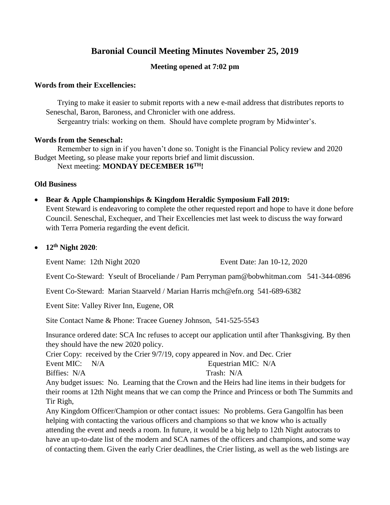# **Baronial Council Meeting Minutes November 25, 2019**

# **Meeting opened at 7:02 pm**

### **Words from their Excellencies:**

Trying to make it easier to submit reports with a new e-mail address that distributes reports to Seneschal, Baron, Baroness, and Chronicler with one address.

Sergeantry trials: working on them. Should have complete program by Midwinter's.

## **Words from the Seneschal:**

Remember to sign in if you haven't done so. Tonight is the Financial Policy review and 2020 Budget Meeting, so please make your reports brief and limit discussion. Next meeting: **MONDAY DECEMBER 16TH!**

# **Old Business**

# **Bear & Apple Championships & Kingdom Heraldic Symposium Fall 2019:**

Event Steward is endeavoring to complete the other requested report and hope to have it done before Council. Seneschal, Exchequer, and Their Excellencies met last week to discuss the way forward with Terra Pomeria regarding the event deficit.

**12th Night 2020**:

Event Name: 12th Night 2020 Event Date: Jan 10-12, 2020

Event Co-Steward: Yseult of Broceliande / Pam Perryman pam@bobwhitman.com 541-344-0896

Event Co-Steward: Marian Staarveld / Marian Harris mch@efn.org 541-689-6382

Event Site: Valley River Inn, Eugene, OR

Site Contact Name & Phone: Tracee Gueney Johnson, 541-525-5543

Insurance ordered date: SCA Inc refuses to accept our application until after Thanksgiving. By then they should have the new 2020 policy.

Crier Copy: received by the Crier 9/7/19, copy appeared in Nov. and Dec. Crier Event MIC: N/A Equestrian MIC: N/A

Biffies: N/A Trash: N/A

Any budget issues: No. Learning that the Crown and the Heirs had line items in their budgets for their rooms at 12th Night means that we can comp the Prince and Princess or both The Summits and Tir Righ,

Any Kingdom Officer/Champion or other contact issues: No problems. Gera Gangolfin has been helping with contacting the various officers and champions so that we know who is actually attending the event and needs a room. In future, it would be a big help to 12th Night autocrats to have an up-to-date list of the modern and SCA names of the officers and champions, and some way of contacting them. Given the early Crier deadlines, the Crier listing, as well as the web listings are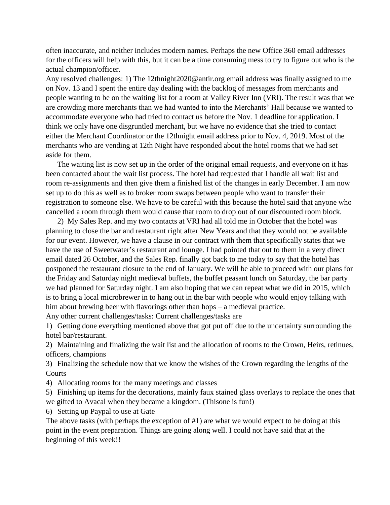often inaccurate, and neither includes modern names. Perhaps the new Office 360 email addresses for the officers will help with this, but it can be a time consuming mess to try to figure out who is the actual champion/officer.

Any resolved challenges: 1) The 12thnight2020@antir.org email address was finally assigned to me on Nov. 13 and I spent the entire day dealing with the backlog of messages from merchants and people wanting to be on the waiting list for a room at Valley River Inn (VRI). The result was that we are crowding more merchants than we had wanted to into the Merchants' Hall because we wanted to accommodate everyone who had tried to contact us before the Nov. 1 deadline for application. I think we only have one disgruntled merchant, but we have no evidence that she tried to contact either the Merchant Coordinator or the 12thnight email address prior to Nov. 4, 2019. Most of the merchants who are vending at 12th Night have responded about the hotel rooms that we had set aside for them.

The waiting list is now set up in the order of the original email requests, and everyone on it has been contacted about the wait list process. The hotel had requested that I handle all wait list and room re-assignments and then give them a finished list of the changes in early December. I am now set up to do this as well as to broker room swaps between people who want to transfer their registration to someone else. We have to be careful with this because the hotel said that anyone who cancelled a room through them would cause that room to drop out of our discounted room block.

2) My Sales Rep. and my two contacts at VRI had all told me in October that the hotel was planning to close the bar and restaurant right after New Years and that they would not be available for our event. However, we have a clause in our contract with them that specifically states that we have the use of Sweetwater's restaurant and lounge. I had pointed that out to them in a very direct email dated 26 October, and the Sales Rep. finally got back to me today to say that the hotel has postponed the restaurant closure to the end of January. We will be able to proceed with our plans for the Friday and Saturday night medieval buffets, the buffet peasant lunch on Saturday, the bar party we had planned for Saturday night. I am also hoping that we can repeat what we did in 2015, which is to bring a local microbrewer in to hang out in the bar with people who would enjoy talking with him about brewing beer with flavorings other than hops – a medieval practice.

Any other current challenges/tasks: Current challenges/tasks are

1) Getting done everything mentioned above that got put off due to the uncertainty surrounding the hotel bar/restaurant.

2) Maintaining and finalizing the wait list and the allocation of rooms to the Crown, Heirs, retinues, officers, champions

3) Finalizing the schedule now that we know the wishes of the Crown regarding the lengths of the **Courts** 

4) Allocating rooms for the many meetings and classes

5) Finishing up items for the decorations, mainly faux stained glass overlays to replace the ones that we gifted to Avacal when they became a kingdom. (Thisone is fun!)

6) Setting up Paypal to use at Gate

The above tasks (with perhaps the exception of #1) are what we would expect to be doing at this point in the event preparation. Things are going along well. I could not have said that at the beginning of this week!!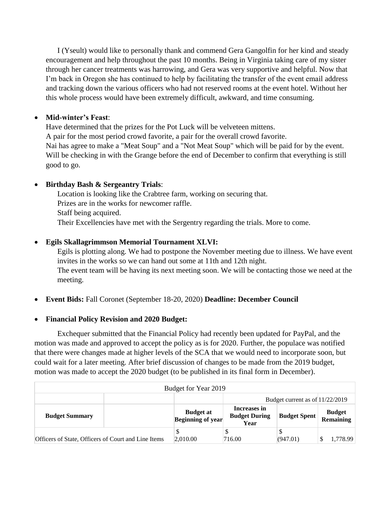I (Yseult) would like to personally thank and commend Gera Gangolfin for her kind and steady encouragement and help throughout the past 10 months. Being in Virginia taking care of my sister through her cancer treatments was harrowing, and Gera was very supportive and helpful. Now that I'm back in Oregon she has continued to help by facilitating the transfer of the event email address and tracking down the various officers who had not reserved rooms at the event hotel. Without her this whole process would have been extremely difficult, awkward, and time consuming.

# **Mid-winter's Feast**:

Have determined that the prizes for the Pot Luck will be velveteen mittens. A pair for the most period crowd favorite, a pair for the overall crowd favorite. Nai has agree to make a "Meat Soup" and a "Not Meat Soup" which will be paid for by the event. Will be checking in with the Grange before the end of December to confirm that everything is still good to go.

# **Birthday Bash & Sergeantry Trials**:

Location is looking like the Crabtree farm, working on securing that. Prizes are in the works for newcomer raffle. Staff being acquired. Their Excellencies have met with the Sergentry regarding the trials. More to come.

# **Egils Skallagrimmson Memorial Tournament XLVI:**

Egils is plotting along. We had to postpone the November meeting due to illness. We have event invites in the works so we can hand out some at 11th and 12th night. The event team will be having its next meeting soon. We will be contacting those we need at the meeting.

**Event Bids:** Fall Coronet (September 18-20, 2020) **Deadline: December Council**

### **Financial Policy Revision and 2020 Budget:**

Exchequer submitted that the Financial Policy had recently been updated for PayPal, and the motion was made and approved to accept the policy as is for 2020. Further, the populace was notified that there were changes made at higher levels of the SCA that we would need to incorporate soon, but could wait for a later meeting. After brief discussion of changes to be made from the 2019 budget, motion was made to accept the 2020 budget (to be published in its final form in December).

| Budget for Year 2019                                |  |                                              |                                              |                     |                            |  |  |  |
|-----------------------------------------------------|--|----------------------------------------------|----------------------------------------------|---------------------|----------------------------|--|--|--|
|                                                     |  |                                              | Budget current as of 11/22/2019              |                     |                            |  |  |  |
| <b>Budget Summary</b>                               |  | <b>Budget at</b><br><b>Beginning of year</b> | Increases in<br><b>Budget During</b><br>Year | <b>Budget Spent</b> | <b>Budget</b><br>Remaining |  |  |  |
| Officers of State, Officers of Court and Line Items |  | 2,010.00                                     | 716.00                                       | (947.01)            | 1,778.99                   |  |  |  |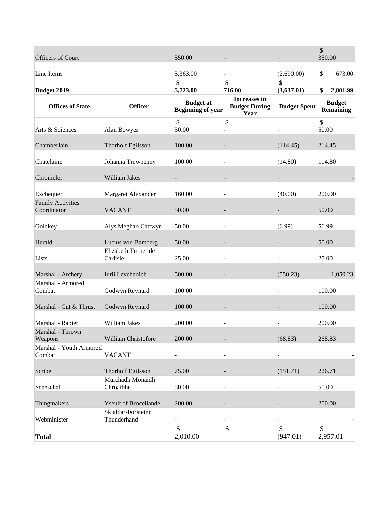| Officers of Court                       |                                   | 350.00                                       |                                              |                     | \$<br>350.00                      |
|-----------------------------------------|-----------------------------------|----------------------------------------------|----------------------------------------------|---------------------|-----------------------------------|
| Line Items                              |                                   | 3,363.00                                     |                                              | (2,690.00)          | \$<br>673.00                      |
|                                         |                                   | \$                                           | \$                                           | \$                  |                                   |
| <b>Budget 2019</b>                      |                                   | 5,723.00                                     | 716.00                                       | (3,637.01)          | \$<br>2,801.99                    |
| <b>Offices of State</b>                 | <b>Officer</b>                    | <b>Budget at</b><br><b>Beginning of year</b> | Increases in<br><b>Budget During</b><br>Year | <b>Budget Spent</b> | <b>Budget</b><br><b>Remaining</b> |
| Arts & Sciences                         | Alan Bowyer                       | \$<br>50.00                                  | \$                                           |                     | \$<br>50.00                       |
| Chamberlain                             | <b>Thorholf Egilsson</b>          | 100.00                                       |                                              | (114.45)            | 214.45                            |
| Chatelaine                              | Johanna Trewpenny                 | 100.00                                       |                                              | (14.80)             | 114.80                            |
| Chronicler                              | William Jakes                     |                                              |                                              |                     |                                   |
| Exchequer                               | Margaret Alexander                | 160.00                                       |                                              | (40.00)             | 200.00                            |
| <b>Family Activities</b><br>Coordinator | <b>VACANT</b>                     | 50.00                                        |                                              |                     | 50.00                             |
| Goldkey                                 | Alys Meghan Cattwyn               | 50.00                                        |                                              | (6.99)              | 56.99                             |
| Herald                                  | Lucius von Bamberg                | 50.00                                        |                                              |                     | 50.00                             |
| Lists                                   | Elizabeth Turner de<br>Carlisle   | 25.00                                        |                                              |                     | 25.00                             |
| Marshal - Archery                       | Iurii Levchenich                  | 500.00                                       |                                              | (550.23)            | 1,050.23                          |
| Marshal - Armored<br>Combat             | Godwyn Reynard                    | 100.00                                       |                                              |                     | 100.00                            |
| Marshal - Cut & Thrust                  | Godwyn Reynard                    | 100.00                                       |                                              |                     | 100.00                            |
| Marshal - Rapier                        | William Jakes                     | 200.00                                       |                                              |                     | 200.00                            |
| Marshal - Thrown<br>Weapons             | William Christofore               | 200.00                                       |                                              | (68.83)             | 268.83                            |
| Marshal - Youth Armored<br>Combat       | <b>VACANT</b>                     |                                              |                                              |                     |                                   |
| Scribe                                  | <b>Thorholf Egilsson</b>          | 75.00                                        |                                              | (151.71)            | 226.71                            |
| Seneschal                               | Murchadh Monaidh<br>Chroaibhe     | 50.00                                        |                                              |                     | 50.00                             |
| Thingmakers                             | <b>Yseult of Broceliande</b>      | 200.00                                       |                                              |                     | 200.00                            |
| Webminister                             | Skjaldar-Þorsteinn<br>Thunderhand |                                              |                                              |                     |                                   |
| <b>Total</b>                            |                                   | $\mathbb{S}$<br>2,010.00                     | \$                                           | \$<br>(947.01)      | \$<br>2,957.01                    |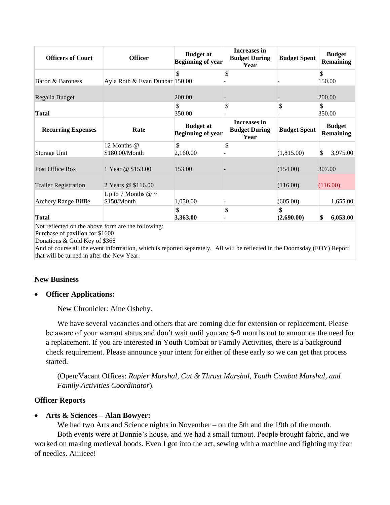| <b>Officers of Court</b>                           | <b>Officer</b>                         | <b>Budget at</b><br><b>Beginning of year</b> | Increases in<br><b>Budget During</b><br>Year | <b>Budget Spent</b> | <b>Budget</b><br><b>Remaining</b> |  |  |
|----------------------------------------------------|----------------------------------------|----------------------------------------------|----------------------------------------------|---------------------|-----------------------------------|--|--|
| Baron & Baroness                                   | Ayla Roth & Evan Dunbar 150.00         | \$                                           | \$                                           |                     | \$<br>150.00                      |  |  |
| Regalia Budget                                     |                                        | 200.00                                       |                                              |                     | 200.00                            |  |  |
| <b>Total</b>                                       |                                        | \$<br>350.00                                 | \$                                           | \$                  | \$<br>350.00                      |  |  |
| <b>Recurring Expenses</b>                          | Rate                                   | <b>Budget at</b><br><b>Beginning of year</b> | Increases in<br><b>Budget During</b><br>Year | <b>Budget Spent</b> | <b>Budget</b><br><b>Remaining</b> |  |  |
| Storage Unit                                       | 12 Months @<br>\$180.00/Month          | \$<br>2,160.00                               | \$                                           | (1,815.00)          | \$<br>3,975.00                    |  |  |
| Post Office Box                                    | 1 Year @ \$153.00                      | 153.00                                       |                                              | (154.00)            | 307.00                            |  |  |
| <b>Trailer Registration</b>                        | 2 Years @ \$116.00                     |                                              |                                              | (116.00)            | (116.00)                          |  |  |
| Archery Range Biffie                               | Up to 7 Months $@ \sim$<br>\$150/Month | 1,050.00                                     |                                              | (605.00)            | 1,655.00                          |  |  |
| <b>Total</b>                                       |                                        | \$<br>3,363.00                               | \$                                           | \$<br>(2,690.00)    | 6,053.00<br>\$                    |  |  |
| Not reflected on the above form are the following: |                                        |                                              |                                              |                     |                                   |  |  |

Purchase of pavilion for \$1600

Donations & Gold Key of \$368

And of course all the event information, which is reported separately. All will be reflected in the Doomsday (EOY) Report that will be turned in after the New Year.

### **New Business**

### **Officer Applications:**

New Chronicler: Aine Oshehy.

We have several vacancies and others that are coming due for extension or replacement. Please be aware of your warrant status and don't wait until you are 6-9 months out to announce the need for a replacement. If you are interested in Youth Combat or Family Activities, there is a background check requirement. Please announce your intent for either of these early so we can get that process started.

(Open/Vacant Offices: *Rapier Marshal, Cut & Thrust Marshal, Youth Combat Marshal, and Family Activities Coordinator*).

### **Officer Reports**

### **Arts & Sciences – Alan Bowyer:**

We had two Arts and Science nights in November – on the 5th and the 19th of the month.

Both events were at Bonnie's house, and we had a small turnout. People brought fabric, and we worked on making medieval hoods. Even I got into the act, sewing with a machine and fighting my fear of needles. Aiiiieee!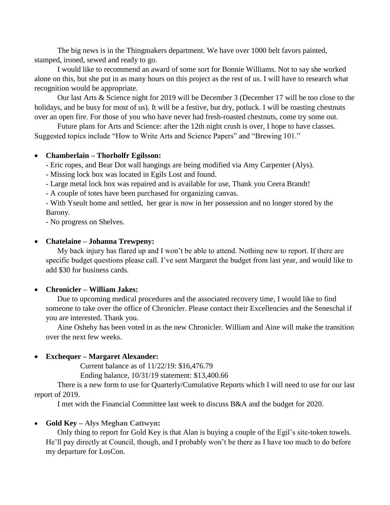The big news is in the Thingmakers department. We have over 1000 belt favors painted, stamped, ironed, sewed and ready to go.

I would like to recommend an award of some sort for Bonnie Williams. Not to say she worked alone on this, but she put in as many hours on this project as the rest of us. I will have to research what recognition would be appropriate.

Our last Arts & Science night for 2019 will be December 3 (December 17 will be too close to the holidays, and be busy for most of us). It will be a festive, but dry, potluck. I will be roasting chestnuts over an open fire. For those of you who have never had fresh-roasted chestnuts, come try some out.

Future plans for Arts and Science: after the 12th night crush is over, I hope to have classes. Suggested topics include "How to Write Arts and Science Papers" and "Brewing 101."

#### **Chamberlain – Thorholfr Egilsson:**

- Eric ropes, and Bear Dot wall hangings are being modified via Amy Carpenter (Alys).

- Missing lock box was located in Egils Lost and found.

- Large metal lock box was repaired and is available for use, Thank you Ceera Brandt!

- A couple of totes have been purchased for organizing canvas.

- With Yseult home and settled, her gear is now in her possession and no longer stored by the Barony.

- No progress on Shelves.

#### **Chatelaine – Johanna Trewpeny:**

My back injury has flared up and I won't be able to attend. Nothing new to report. If there are specific budget questions please call. I've sent Margaret the budget from last year, and would like to add \$30 for business cards.

#### **Chronicler – William Jakes:**

Due to upcoming medical procedures and the associated recovery time, I would like to find someone to take over the office of Chronicler. Please contact their Excellencies and the Seneschal if you are interested. Thank you.

Aine Oshehy has been voted in as the new Chronicler. William and Aine will make the transition over the next few weeks.

### **Exchequer – Margaret Alexander:**

Current balance as of 11/22/19: \$16,476.79

Ending balance, 10/31/19 statement: \$13,400.66

There is a new form to use for Quarterly/Cumulative Reports which I will need to use for our last report of 2019.

I met with the Financial Committee last week to discuss B&A and the budget for 2020.

### **Gold Key – Alys Meghan Cattwyn:**

Only thing to report for Gold Key is that Alan is buying a couple of the Egil's site-token towels. He'll pay directly at Council, though, and I probably won't be there as I have too much to do before my departure for LosCon.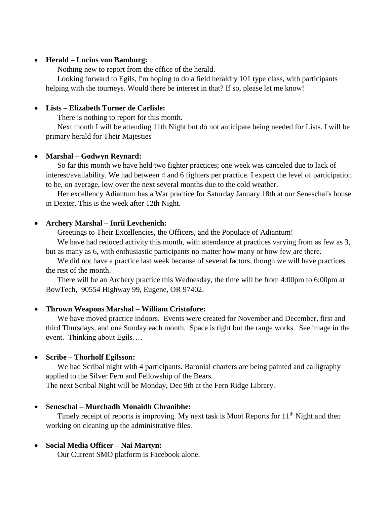### **Herald – Lucius von Bamburg:**

Nothing new to report from the office of the herald.

Looking forward to Egils, I'm hoping to do a field heraldry 101 type class, with participants helping with the tourneys. Would there be interest in that? If so, please let me know!

### **Lists – Elizabeth Turner de Carlisle:**

There is nothing to report for this month.

Next month I will be attending 11th Night but do not anticipate being needed for Lists. I will be primary herald for Their Majesties

### **Marshal – Godwyn Reynard:**

So far this month we have held two fighter practices; one week was canceled due to lack of interest/availability. We had between 4 and 6 fighters per practice. I expect the level of participation to be, on average, low over the next several months due to the cold weather.

Her excellency Adiantum has a War practice for Saturday January 18th at our Seneschal's house in Dexter. This is the week after 12th Night.

### **Archery Marshal – Iurii Levchenich:**

Greetings to Their Excellencies, the Officers, and the Populace of Adiantum!

We have had reduced activity this month, with attendance at practices varying from as few as 3, but as many as 6, with enthusiastic participants no matter how many or how few are there.

We did not have a practice last week because of several factors, though we will have practices the rest of the month.

There will be an Archery practice this Wednesday, the time will be from 4:00pm to 6:00pm at BowTech, 90554 Highway 99, Eugene, OR 97402.

### **Thrown Weapons Marshal – William Cristofore:**

We have moved practice indoors. Events were created for November and December, first and third Thursdays, and one Sunday each month. Space is tight but the range works. See image in the event. Thinking about Egils….

### **Scribe – Thorholf Egilsson:**

We had Scribal night with 4 participants. Baronial charters are being painted and calligraphy applied to the Silver Fern and Fellowship of the Bears.

The next Scribal Night will be Monday, Dec 9th at the Fern Ridge Library.

### **Seneschal – Murchadh Monaidh Chraoibhe:**

Timely receipt of reports is improving. My next task is Moot Reports for  $11<sup>th</sup>$  Night and then working on cleaning up the administrative files.

### **Social Media Officer – Nai Martyn:**

Our Current SMO platform is Facebook alone.